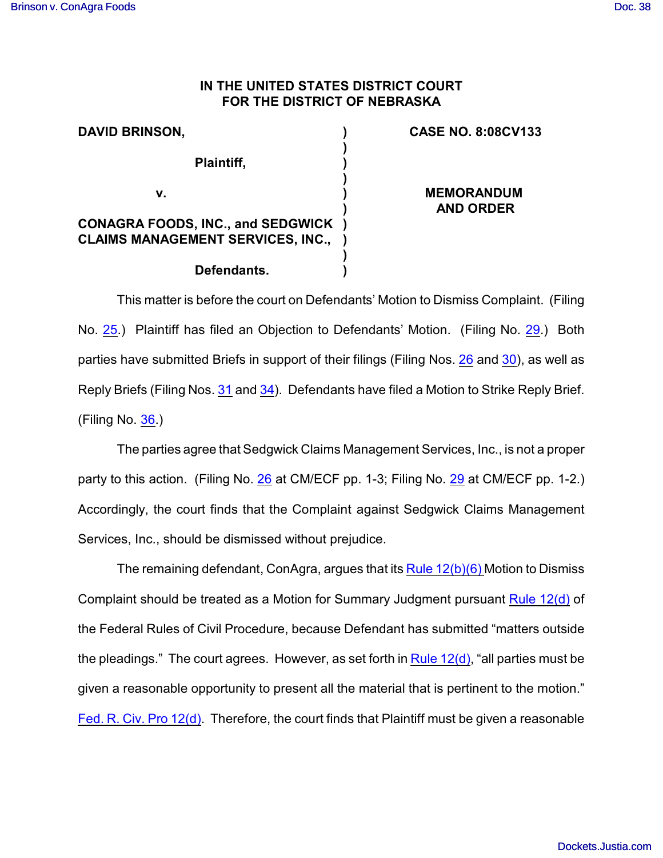## **IN THE UNITED STATES DISTRICT COURT FOR THE DISTRICT OF NEBRASKA**

| <b>DAVID BRINSON,</b>                                                                | <b>CASE NO. 8:08CV133</b>             |
|--------------------------------------------------------------------------------------|---------------------------------------|
| Plaintiff,                                                                           |                                       |
| v.                                                                                   | <b>MEMORANDUM</b><br><b>AND ORDER</b> |
| <b>CONAGRA FOODS, INC., and SEDGWICK</b><br><b>CLAIMS MANAGEMENT SERVICES, INC.,</b> |                                       |
| Defendants.                                                                          |                                       |

This matter is before the court on Defendants' Motion to Dismiss Complaint. (Filing No. [25](https://ecf.ned.uscourts.gov/doc1/11301548798).) Plaintiff has filed an Objection to Defendants' Motion. (Filing No. [29](https://ecf.ned.uscourts.gov/doc1/11301573113).) Both parties have submitted Briefs in support of their filings (Filing Nos. [26](https://ecf.ned.uscourts.gov/doc1/11301548841) and [30](https://ecf.ned.uscourts.gov/doc1/11301573118)), as well as Reply Briefs (Filing Nos. [31](https://ecf.ned.uscourts.gov/doc1/11301577234) and [34](https://ecf.ned.uscourts.gov/doc1/11301595979)). Defendants have filed a Motion to Strike Reply Brief. (Filing No. [36](https://ecf.ned.uscourts.gov/doc1/11301600529).)

The parties agree that Sedgwick Claims Management Services, Inc., is not a proper party to this action. (Filing No. [26](https://ecf.ned.uscourts.gov/doc1/11301548841) at CM/ECF pp. 1-3; Filing No. [29](https://ecf.ned.uscourts.gov/doc1/11301573113) at CM/ECF pp. 1-2.) Accordingly, the court finds that the Complaint against Sedgwick Claims Management Services, Inc., should be dismissed without prejudice.

The remaining defendant, ConAgra, argues that its  $Rule 12(b)(6)$  Motion to Dismiss Complaint should be treated as a Motion for Summary Judgment pursuant [Rule 12\(d\)](http://web2.westlaw.com/find/default.wl?rs=WLW8.11&ifm=NotSet&fn=_top&sv=Split&cite=Fed.+R.+Civ.+Pro+12(d)&vr=2.0&rp=%2ffind%2fdefault.wl&mt=Westlaw) of the Federal Rules of Civil Procedure, because Defendant has submitted "matters outside the pleadings." The court agrees. However, as set forth in  $Rule 12(d)$ , "all parties must be given a reasonable opportunity to present all the material that is pertinent to the motion." [Fed. R. Civ. Pro 12\(d\)](http://web2.westlaw.com/find/default.wl?rs=WLW8.11&ifm=NotSet&fn=_top&sv=Split&cite=Fed.+R.+Civ.+Pro+12(d)&vr=2.0&rp=%2ffind%2fdefault.wl&mt=Westlaw). Therefore, the court finds that Plaintiff must be given a reasonable